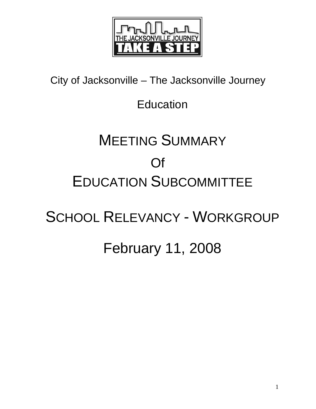

City of Jacksonville – The Jacksonville Journey

### Education

# MEETING SUMMARY Of EDUCATION SUBCOMMITTEE

## SCHOOL RELEVANCY - WORKGROUP

### February 11, 2008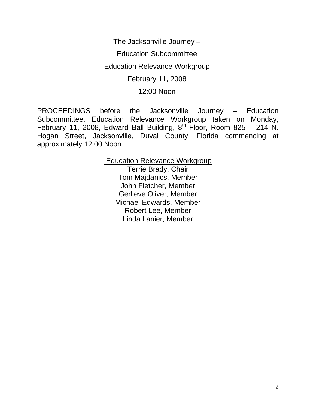The Jacksonville Journey –

Education Subcommittee

Education Relevance Workgroup

February 11, 2008

12:00 Noon

PROCEEDINGS before the Jacksonville Journey – Education Subcommittee, Education Relevance Workgroup taken on Monday, February 11, 2008, Edward Ball Building,  $8^{th}$  Floor, Room 825 – 214 N. Hogan Street, Jacksonville, Duval County, Florida commencing at approximately 12:00 Noon

> Education Relevance Workgroup Terrie Brady, Chair Tom Majdanics, Member John Fletcher, Member Gerlieve Oliver, Member Michael Edwards, Member Robert Lee, Member Linda Lanier, Member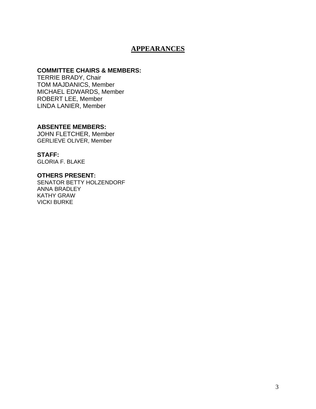#### **APPEARANCES**

#### **COMMITTEE CHAIRS & MEMBERS:**

TERRIE BRADY, Chair TOM MAJDANICS, Member MICHAEL EDWARDS, Member ROBERT LEE, Member LINDA LANIER, Member

#### **ABSENTEE MEMBERS:**

JOHN FLETCHER, Member GERLIEVE OLIVER, Member

**STAFF:**  GLORIA F. BLAKE

#### **OTHERS PRESENT:**

SENATOR BETTY HOLZENDORF ANNA BRADLEY KATHY GRAW VICKI BURKE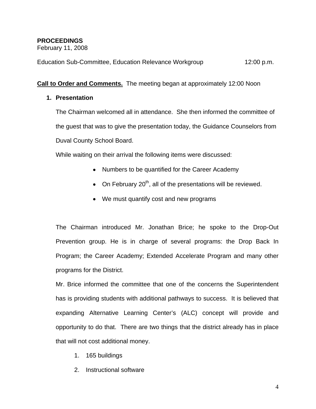#### **PROCEEDINGS**

February 11, 2008

Education Sub-Committee, Education Relevance Workgroup 12:00 p.m.

**Call to Order and Comments.** The meeting began at approximately 12:00 Noon

#### **1. Presentation**

The Chairman welcomed all in attendance. She then informed the committee of the guest that was to give the presentation today, the Guidance Counselors from Duval County School Board.

While waiting on their arrival the following items were discussed:

- Numbers to be quantified for the Career Academy
- On February  $20<sup>th</sup>$ , all of the presentations will be reviewed.
- We must quantify cost and new programs

The Chairman introduced Mr. Jonathan Brice; he spoke to the Drop-Out Prevention group. He is in charge of several programs: the Drop Back In Program; the Career Academy; Extended Accelerate Program and many other programs for the District.

Mr. Brice informed the committee that one of the concerns the Superintendent has is providing students with additional pathways to success. It is believed that expanding Alternative Learning Center's (ALC) concept will provide and opportunity to do that. There are two things that the district already has in place that will not cost additional money.

- 1. 165 buildings
- 2. Instructional software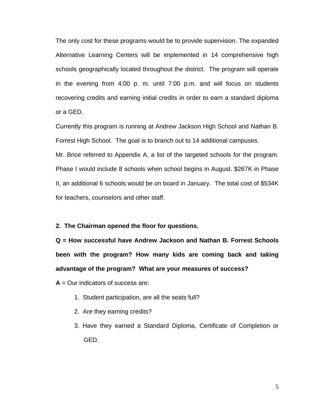The only cost for these programs would be to provide supervision. The expanded Alternative Learning Centers will be implemented in 14 comprehensive high schools geographically located throughout the district. The program will operate in the evening from 4:00 p. m. until 7:00 p.m. and will focus on students recovering credits and earning initial credits in order to earn a standard diploma or a GED.

Currently this program is running at Andrew Jackson High School and Nathan B. Forrest High School. The goal is to branch out to 14 additional campuses.

Mr. Brice referred to Appendix A, a list of the targeted schools for the program. Phase I would include 8 schools when school begins in August. \$267K in Phase II, an additional 6 schools would be on board in January. The total cost of \$534K for teachers, counselors and other staff.

#### **2. The Chairman opened the floor for questions.**

**Q = How successful have Andrew Jackson and Nathan B. Forrest Schools been with the program? How many kids are coming back and taking advantage of the program? What are your measures of success?** 

**A** = Our indicators of success are:

- 1. Student participation, are all the seats full?
- 2. Are they earning credits?
- 3. Have they earned a Standard Diploma, Certificate of Completion or GED.

5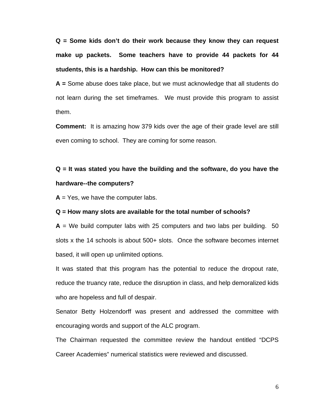**Q = Some kids don't do their work because they know they can request make up packets. Some teachers have to provide 44 packets for 44 students, this is a hardship. How can this be monitored?** 

**A =** Some abuse does take place, but we must acknowledge that all students do not learn during the set timeframes. We must provide this program to assist them.

**Comment:** It is amazing how 379 kids over the age of their grade level are still even coming to school. They are coming for some reason.

### **Q = It was stated you have the building and the software, do you have the hardware--the computers?**

 $A = Yes$ , we have the computer labs.

#### **Q = How many slots are available for the total number of schools?**

 $A =$  We build computer labs with 25 computers and two labs per building. 50 slots x the 14 schools is about 500+ slots. Once the software becomes internet based, it will open up unlimited options.

It was stated that this program has the potential to reduce the dropout rate, reduce the truancy rate, reduce the disruption in class, and help demoralized kids who are hopeless and full of despair.

Senator Betty Holzendorff was present and addressed the committee with encouraging words and support of the ALC program.

The Chairman requested the committee review the handout entitled "DCPS Career Academies" numerical statistics were reviewed and discussed.